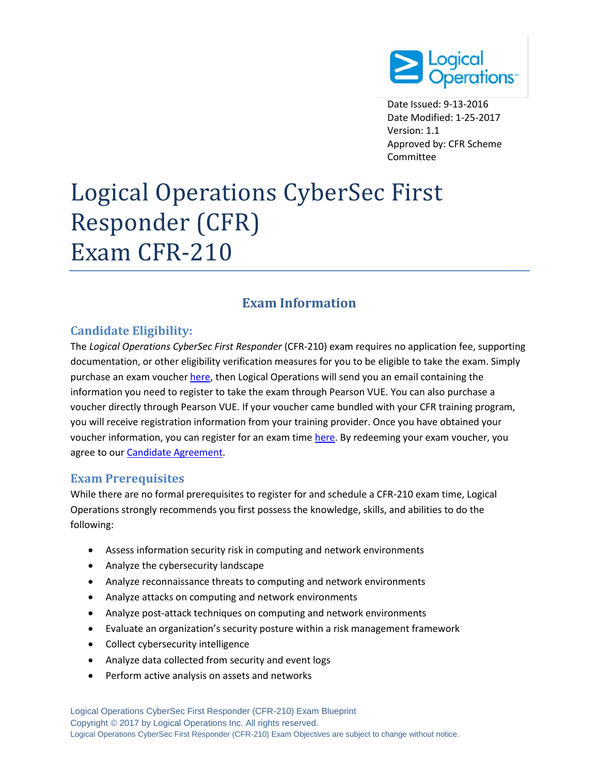

Date Issued: 9-13-2016 Date Modified: 1-25-2017 Version: 1.1 Approved by: CFR Scheme Committee

# Logical Operations CyberSec First Responder (CFR) Exam CFR-210

# **Exam Information**

# **Candidate Eligibility:**

The *Logical Operations CyberSec First Responder* (CFR-210) exam requires no application fee, supporting documentation, or other eligibility verification measures for you to be eligible to take the exam. Simply purchase an exam vouche[r here,](http://store.logicaloperations.com/cfr-cybersec-first-responder-exam-cfr-210-exam-voucher.html) then Logical Operations will send you an email containing the information you need to register to take the exam through Pearson VUE. You can also purchase a voucher directly through Pearson VUE. If your voucher came bundled with your CFR training program, you will receive registration information from your training provider. Once you have obtained your voucher information, you can register for an exam time [here.](http://pearsonvue.com/logicaloperations/) By redeeming your exam voucher, you agree to ou[r Candidate Agreement.](http://logicaloperations.com/candidate_agreement/)

# **Exam Prerequisites**

While there are no formal prerequisites to register for and schedule a CFR-210 exam time, Logical Operations strongly recommends you first possess the knowledge, skills, and abilities to do the following:

- Assess information security risk in computing and network environments
- Analyze the cybersecurity landscape
- Analyze reconnaissance threats to computing and network environments
- Analyze attacks on computing and network environments
- Analyze post-attack techniques on computing and network environments
- Evaluate an organization's security posture within a risk management framework
- Collect cybersecurity intelligence
- Analyze data collected from security and event logs
- Perform active analysis on assets and networks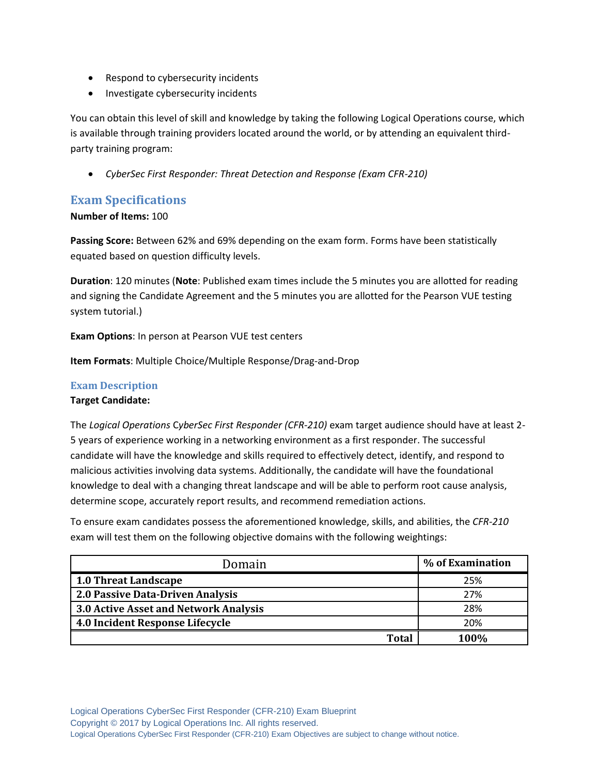- Respond to cybersecurity incidents
- Investigate cybersecurity incidents

You can obtain this level of skill and knowledge by taking the following Logical Operations course, which is available through training providers located around the world, or by attending an equivalent thirdparty training program:

*CyberSec First Responder: Threat Detection and Response (Exam CFR-210)*

# **Exam Specifications**

**Number of Items:** 100

**Passing Score:** Between 62% and 69% depending on the exam form. Forms have been statistically equated based on question difficulty levels.

**Duration**: 120 minutes (**Note**: Published exam times include the 5 minutes you are allotted for reading and signing the Candidate Agreement and the 5 minutes you are allotted for the Pearson VUE testing system tutorial.)

**Exam Options**: In person at Pearson VUE test centers

**Item Formats**: Multiple Choice/Multiple Response/Drag-and-Drop

## **Exam Description Target Candidate:**

The *Logical Operations* C*yberSec First Responder (CFR-210)* exam target audience should have at least 2- 5 years of experience working in a networking environment as a first responder. The successful candidate will have the knowledge and skills required to effectively detect, identify, and respond to malicious activities involving data systems. Additionally, the candidate will have the foundational knowledge to deal with a changing threat landscape and will be able to perform root cause analysis, determine scope, accurately report results, and recommend remediation actions.

To ensure exam candidates possess the aforementioned knowledge, skills, and abilities, the *CFR-210* exam will test them on the following objective domains with the following weightings:

| Domain                                | % of Examination |
|---------------------------------------|------------------|
| <b>1.0 Threat Landscape</b>           | 25%              |
| 2.0 Passive Data-Driven Analysis      | 27%              |
| 3.0 Active Asset and Network Analysis | 28%              |
| 4.0 Incident Response Lifecycle       | 20%              |
| Total                                 | 100%             |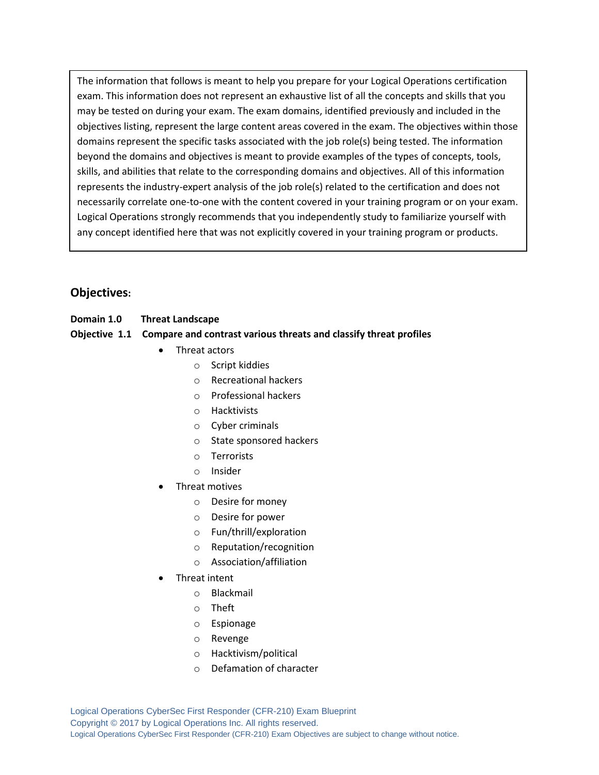The information that follows is meant to help you prepare for your Logical Operations certification exam. This information does not represent an exhaustive list of all the concepts and skills that you may be tested on during your exam. The exam domains, identified previously and included in the objectives listing, represent the large content areas covered in the exam. The objectives within those domains represent the specific tasks associated with the job role(s) being tested. The information beyond the domains and objectives is meant to provide examples of the types of concepts, tools, skills, and abilities that relate to the corresponding domains and objectives. All of this information represents the industry-expert analysis of the job role(s) related to the certification and does not necessarily correlate one-to-one with the content covered in your training program or on your exam. Logical Operations strongly recommends that you independently study to familiarize yourself with any concept identified here that was not explicitly covered in your training program or products.

# **Objectives:**

**Domain 1.0 Threat Landscape**

#### **Objective 1.1 Compare and contrast various threats and classify threat profiles**

- Threat actors
	- o Script kiddies
	- o Recreational hackers
	- o Professional hackers
	- o Hacktivists
	- o Cyber criminals
	- o State sponsored hackers
	- o Terrorists
	- o Insider
- Threat motives
	- o Desire for money
	- o Desire for power
	- o Fun/thrill/exploration
	- o Reputation/recognition
	- o Association/affiliation
- Threat intent
	- o Blackmail
	- o Theft
	- o Espionage
	- o Revenge
	- o Hacktivism/political
	- o Defamation of character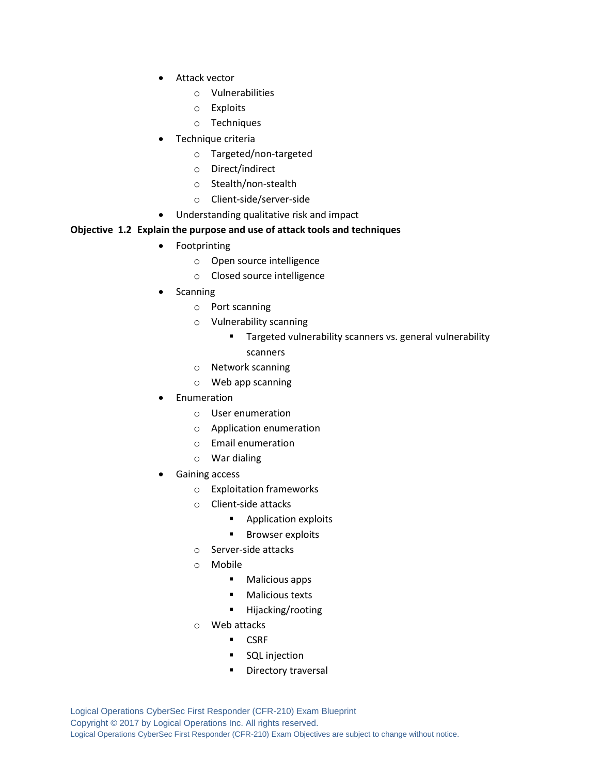- Attack vector
	- o Vulnerabilities
	- o Exploits
	- o Techniques
- Technique criteria
	- o Targeted/non-targeted
	- o Direct/indirect
	- o Stealth/non-stealth
	- o Client-side/server-side
- Understanding qualitative risk and impact

#### **Objective 1.2 Explain the purpose and use of attack tools and techniques**

- Footprinting
	- o Open source intelligence
	- o Closed source intelligence
- Scanning
	- o Port scanning
	- o Vulnerability scanning
		- **Targeted vulnerability scanners vs. general vulnerability** scanners
	- o Network scanning
	- o Web app scanning
- Enumeration
	- o User enumeration
	- o Application enumeration
	- o Email enumeration
	- o War dialing
- Gaining access
	- o Exploitation frameworks
	- o Client-side attacks
		- **Application exploits**
		- **Browser exploits**
	- o Server-side attacks
	- o Mobile
		- **Malicious apps**
		- **Malicious texts**
		- Hijacking/rooting
	- o Web attacks
		- **CSRF**
		- **SQL** injection
		- **Directory traversal**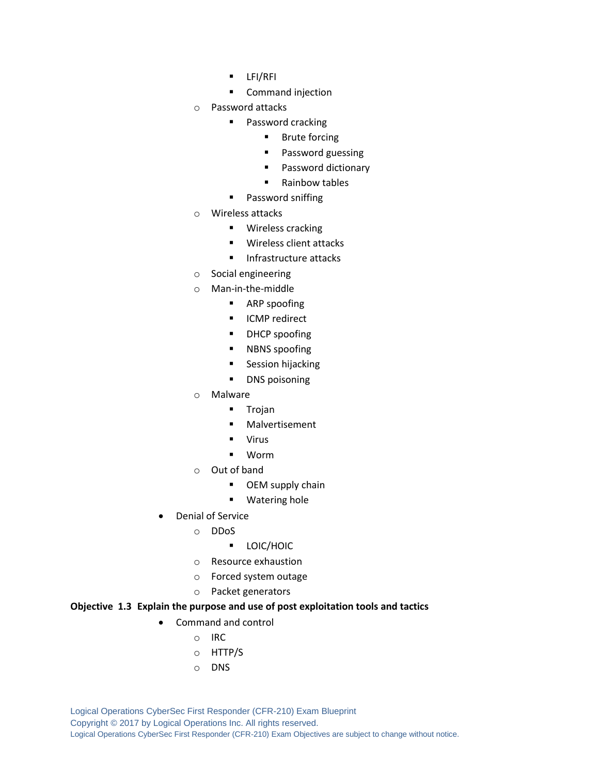- **LEI/REI**
- **Command injection**
- o Password attacks
	- **Password cracking** 
		- **Brute forcing**
		- **Password guessing**
		- **Password dictionary**
		- Rainbow tables
	- **Password sniffing**
- o Wireless attacks
	- **Wireless cracking**
	- **Wireless client attacks**
	- **Infrastructure attacks**
- o Social engineering
- o Man-in-the-middle
	- **ARP** spoofing
	- **ICMP** redirect
	- **DHCP** spoofing
	- **NBNS** spoofing
	- **Session hijacking**
	- **DNS** poisoning
- o Malware
	- **Trojan**
	- **Nalvertisement**
	- Virus
	- Worm
- o Out of band
	- **•** OEM supply chain
	- **Watering hole**
- Denial of Service
	- o DDoS
		- **LOIC/HOIC**
	- o Resource exhaustion
	- o Forced system outage
	- o Packet generators

#### **Objective 1.3 Explain the purpose and use of post exploitation tools and tactics**

- Command and control
	- o IRC
	- o HTTP/S
	- o DNS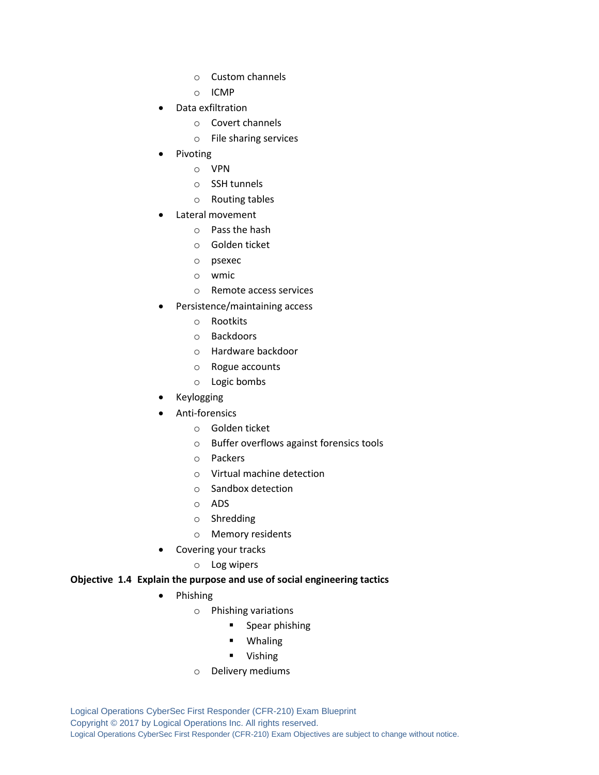- o Custom channels
- o ICMP
- Data exfiltration
	- o Covert channels
	- o File sharing services
- Pivoting
	- o VPN
	- o SSH tunnels
	- o Routing tables
- Lateral movement
	- o Pass the hash
	- o Golden ticket
	- o psexec
	- o wmic
	- o Remote access services
- Persistence/maintaining access
	- o Rootkits
	- o Backdoors
	- o Hardware backdoor
	- o Rogue accounts
	- o Logic bombs
- Keylogging
- Anti-forensics
	- o Golden ticket
	- o Buffer overflows against forensics tools
	- o Packers
	- o Virtual machine detection
	- o Sandbox detection
	- o ADS
	- o Shredding
	- o Memory residents
- Covering your tracks
	- o Log wipers

#### **Objective 1.4 Explain the purpose and use of social engineering tactics**

- Phishing
	- o Phishing variations
		- **Spear phishing** 
			- Whaling
			- **U** Vishing
	- o Delivery mediums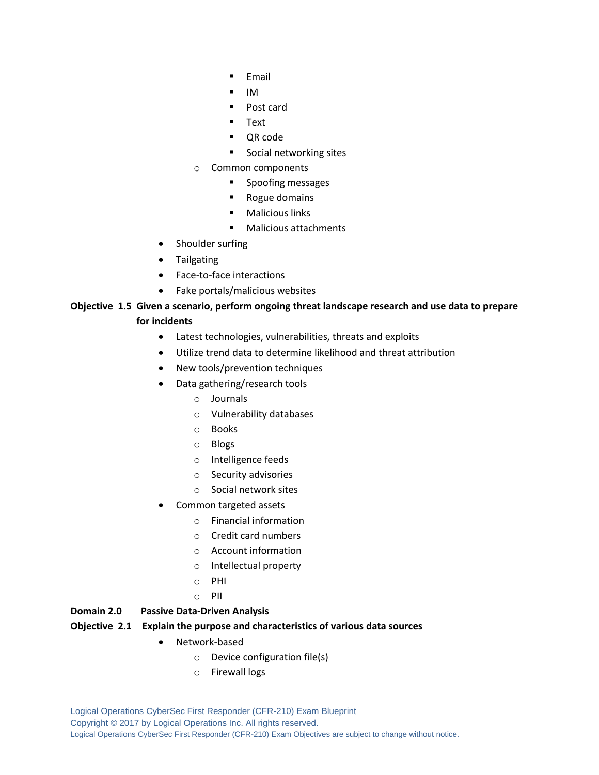- **Email**
- IM
- Post card
- **Text**
- QR code
- **Social networking sites**
- o Common components
	- **Spoofing messages**
	- **Rogue domains**
	- **Malicious links**
	- Malicious attachments
- Shoulder surfing
- **•** Tailgating
- Face-to-face interactions
- Fake portals/malicious websites

#### **Objective 1.5 Given a scenario, perform ongoing threat landscape research and use data to prepare for incidents**

- Latest technologies, vulnerabilities, threats and exploits
- Utilize trend data to determine likelihood and threat attribution
- New tools/prevention techniques
- Data gathering/research tools
	- o Journals
	- o Vulnerability databases
	- o Books
	- o Blogs
	- o Intelligence feeds
	- o Security advisories
	- o Social network sites
- Common targeted assets
	- o Financial information
	- o Credit card numbers
	- o Account information
	- o Intellectual property
	- o PHI
	- o PII

#### **Domain 2.0 Passive Data-Driven Analysis**

#### **Objective 2.1 Explain the purpose and characteristics of various data sources**

- Network-based
	- o Device configuration file(s)
	- o Firewall logs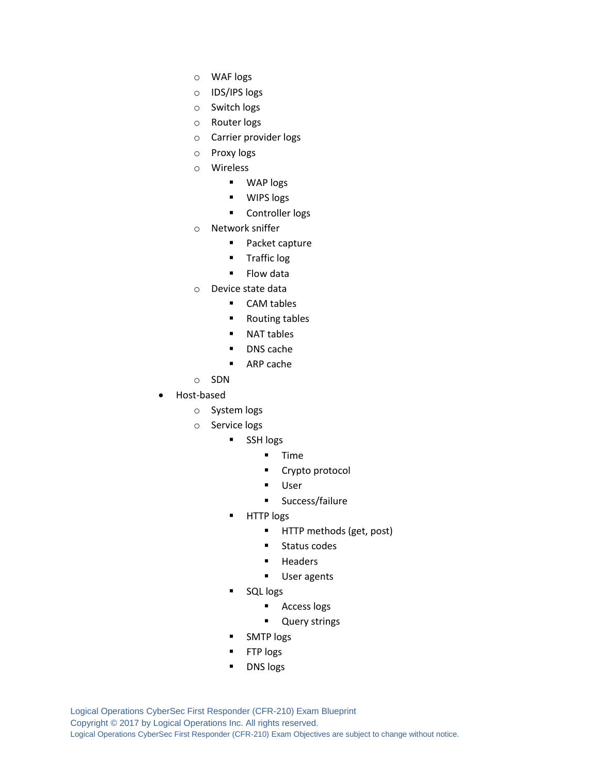- o WAF logs
- o IDS/IPS logs
- o Switch logs
- o Router logs
- o Carrier provider logs
- o Proxy logs
- o Wireless
	- WAP logs
	- **WIPS** logs
	- **Controller logs**
- o Network sniffer
	- **Packet capture**
	- **Traffic log**
	- **Flow data**
- o Device state data
	- CAM tables
		- Routing tables
		- NAT tables
		- **DNS** cache
		- ARP cache
- o SDN
- Host-based
	- o System logs
	- o Service logs
		- SSH logs
			- $I$  Time
			- **Crypto protocol**
			- User
			- **Success/failure**
		- **HTTP** logs
			- **HTTP methods (get, post)**
			- **Status codes**
			- **-** Headers
			- **User agents**
		- SQL logs
			- **Access logs**
			- **-** Query strings
		- SMTP logs
		- FTP logs
		- DNS logs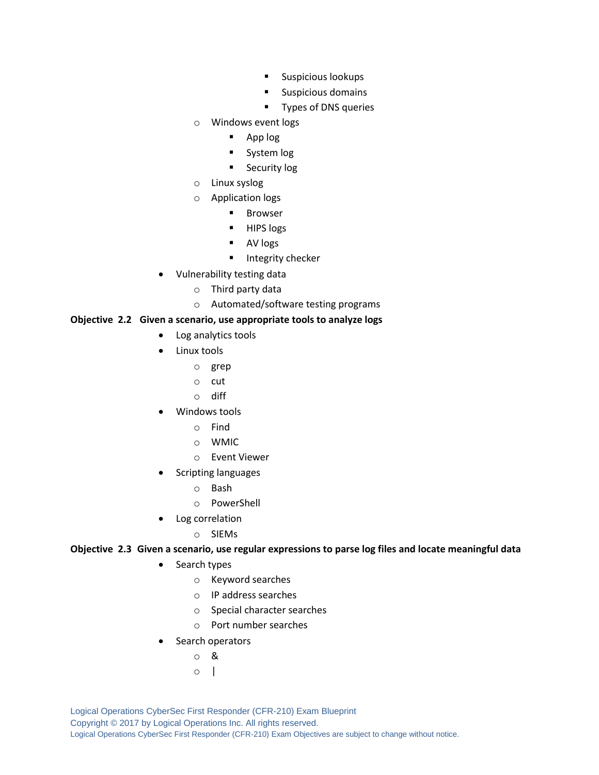- **Suspicious lookups**
- **Suspicious domains**
- **Types of DNS queries**
- o Windows event logs
	- App log
	- **System log**
	- **Security log**
- o Linux syslog
- o Application logs
	- **Browser**
	- **HIPS** logs
	- **AV** logs
	- **Integrity checker**
- Vulnerability testing data
	- o Third party data
	- o Automated/software testing programs

#### **Objective 2.2 Given a scenario, use appropriate tools to analyze logs**

- Log analytics tools
- Linux tools
	- o grep
	- o cut
	- o diff
- Windows tools
	- o Find
	- o WMIC
	- o Event Viewer
- Scripting languages
	- o Bash
	- o PowerShell
- Log correlation
	- o SIEMs

#### **Objective 2.3 Given a scenario, use regular expressions to parse log files and locate meaningful data**

- Search types
	- o Keyword searches
	- o IP address searches
	- o Special character searches
	- o Port number searches
- Search operators
	- o &
	- $\circ$  |

Logical Operations CyberSec First Responder (CFR-210) Exam Blueprint Copyright © 2017 by Logical Operations Inc. All rights reserved. Logical Operations CyberSec First Responder (CFR-210) Exam Objectives are subject to change without notice.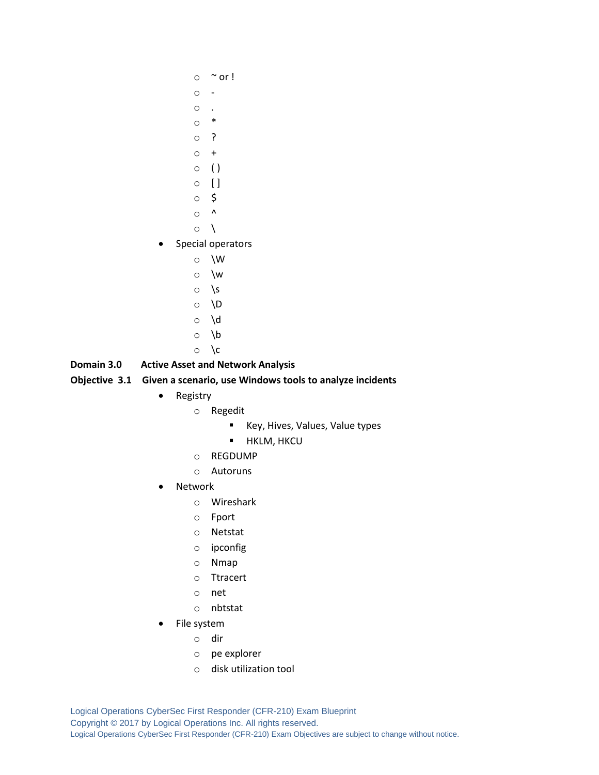- $\circ$  ~ or !
- o -
- $\circ$  .
- o \*
- o ?
- $\circ$  +
- $\circ$  ()
- $\circ$  []
- o \$
- $\circ$  ^
- $\circ \ \ \backslash$
- Special operators
	- o \W
	- o \w
	- $\circ$  \s
	- o \D
	- o \d
	- o \b
	- $\circ \ \backslash c$

# **Domain 3.0 Active Asset and Network Analysis**

## **Objective 3.1 Given a scenario, use Windows tools to analyze incidents**

- Registry
	- o Regedit
		- Key, Hives, Values, Value types
		- **-** HKLM, HKCU
	- o REGDUMP
	- o Autoruns
- Network
	- o Wireshark
	- o Fport
	- o Netstat
	- o ipconfig
	- o Nmap
	- o Ttracert
	- o net
	- o nbtstat
- File system
	- o dir
	- o pe explorer
	- o disk utilization tool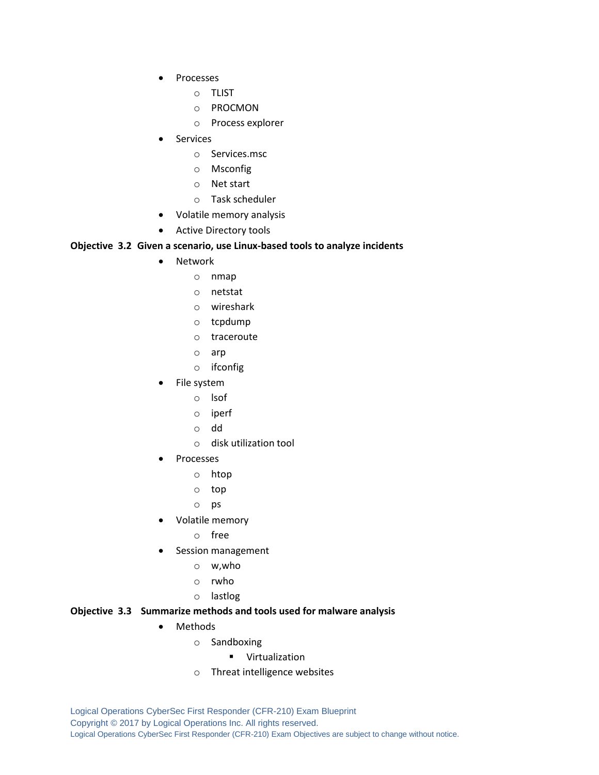- Processes
	- o TLIST
	- o PROCMON
	- o Process explorer
- Services
	- o Services.msc
	- o Msconfig
	- o Net start
	- o Task scheduler
- Volatile memory analysis
- Active Directory tools

#### **Objective 3.2 Given a scenario, use Linux-based tools to analyze incidents**

- Network
	- o nmap
	- o netstat
	- o wireshark
	- o tcpdump
	- o traceroute
	- o arp
	- o ifconfig
- File system
	- o lsof
	- o iperf
	- o dd
	- o disk utilization tool
- Processes
	- o htop
	- o top
	- o ps
- Volatile memory
	- o free
- Session management
	- o w,who
	- o rwho
	- o lastlog

#### **Objective 3.3 Summarize methods and tools used for malware analysis**

- Methods
	- o Sandboxing
		- **•** Virtualization
	- o Threat intelligence websites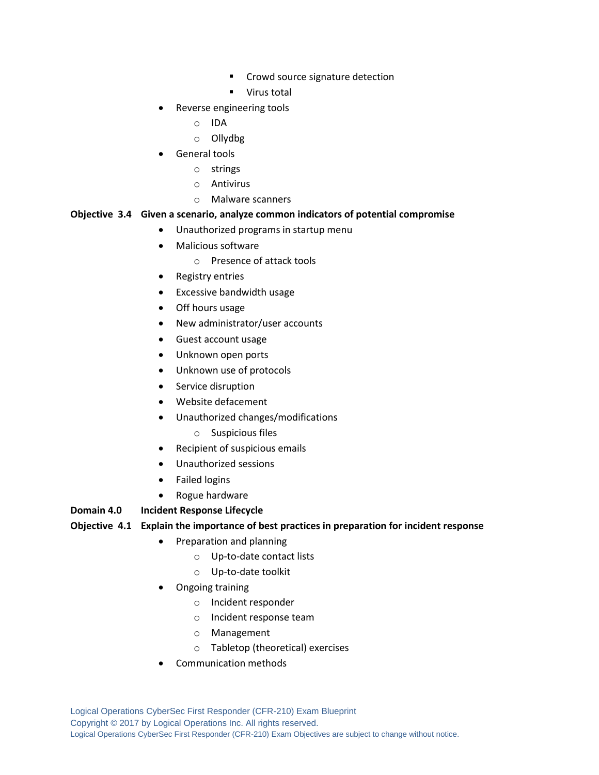- **•** Crowd source signature detection
- **Virus total**
- Reverse engineering tools
	- o IDA
	- o Ollydbg
- General tools
	- o strings
	- o Antivirus
	- o Malware scanners

#### **Objective 3.4 Given a scenario, analyze common indicators of potential compromise**

- Unauthorized programs in startup menu
- Malicious software
	- o Presence of attack tools
- Registry entries
- Excessive bandwidth usage
- Off hours usage
- New administrator/user accounts
- Guest account usage
- Unknown open ports
- Unknown use of protocols
- Service disruption
- Website defacement
- Unauthorized changes/modifications
	- o Suspicious files
- Recipient of suspicious emails
- Unauthorized sessions
- Failed logins
- Rogue hardware

#### **Domain 4.0 Incident Response Lifecycle**

#### **Objective 4.1 Explain the importance of best practices in preparation for incident response**

- Preparation and planning
	- o Up-to-date contact lists
	- o Up-to-date toolkit
- Ongoing training
	- o Incident responder
	- o Incident response team
	- o Management
	- o Tabletop (theoretical) exercises
- Communication methods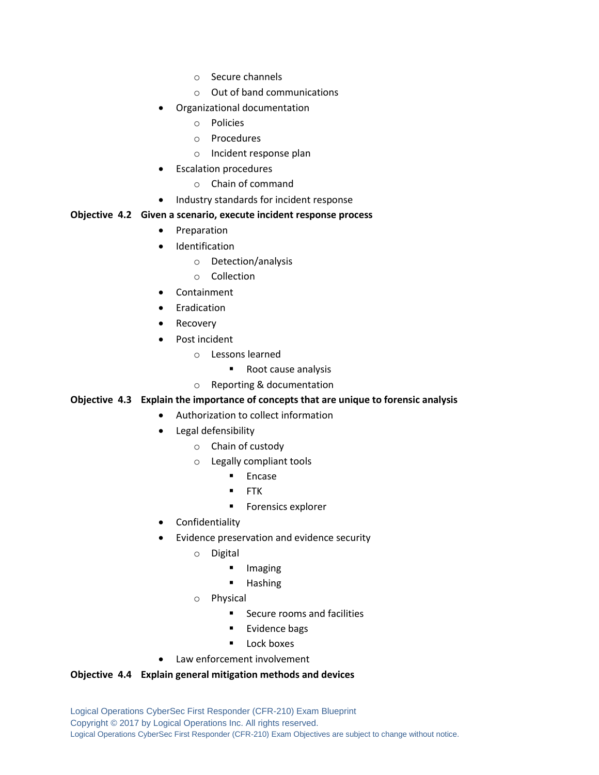- o Secure channels
- o Out of band communications
- Organizational documentation
	- o Policies
	- o Procedures
	- o Incident response plan
- Escalation procedures
	- o Chain of command
- Industry standards for incident response

#### **Objective 4.2 Given a scenario, execute incident response process**

- Preparation
- Identification
	- o Detection/analysis
	- o Collection
- Containment
- Eradication
- Recovery
- Post incident
	- o Lessons learned
		- Root cause analysis
	- o Reporting & documentation

## **Objective 4.3 Explain the importance of concepts that are unique to forensic analysis**

- Authorization to collect information
	- Legal defensibility
		- o Chain of custody
		- o Legally compliant tools
			- **Encase**
			- **FTK**
			- **Forensics explorer**
	- Confidentiality
	- Evidence preservation and evidence security
		- o Digital
			- **Imaging**
			- Hashing
		- o Physical
			- Secure rooms and facilities
			- Evidence bags
			- Lock boxes
- Law enforcement involvement

#### **Objective 4.4 Explain general mitigation methods and devices**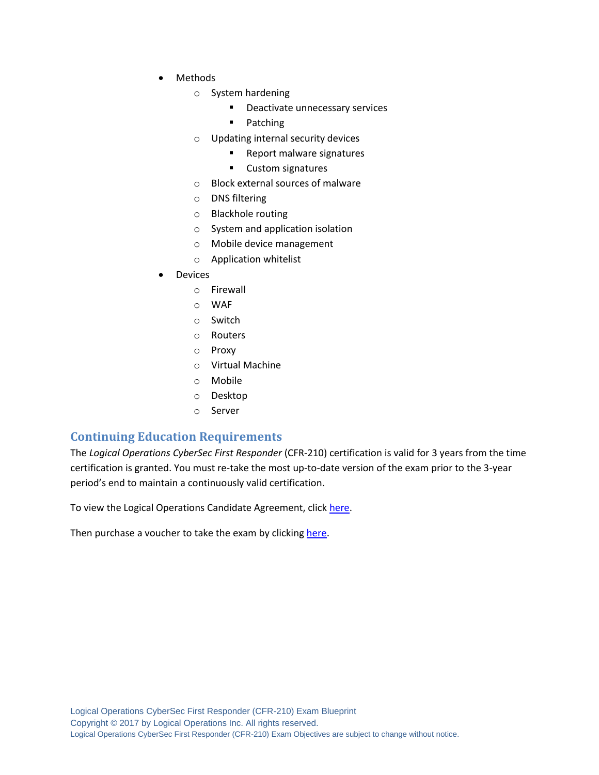- Methods
	- o System hardening
		- **Deactivate unnecessary services**
		- **Patching**
	- o Updating internal security devices
		- **Report malware signatures**
		- **Custom signatures**
	- o Block external sources of malware
	- o DNS filtering
	- o Blackhole routing
	- o System and application isolation
	- o Mobile device management
	- o Application whitelist
- Devices
	- o Firewall
	- o WAF
	- o Switch
	- o Routers
	- o Proxy
	- o Virtual Machine
	- o Mobile
	- o Desktop
	- o Server

# **Continuing Education Requirements**

The *Logical Operations CyberSec First Responder* (CFR-210) certification is valid for 3 years from the time certification is granted. You must re-take the most up-to-date version of the exam prior to the 3-year period's end to maintain a continuously valid certification.

To view the Logical Operations Candidate Agreement, clic[k here.](http://logicaloperations.com/candidate_agreement/)

Then purchase a voucher to take the exam by clickin[g here.](http://store.logicaloperations.com/cfr-cybersec-first-responder-exam-cfr-210-exam-voucher.html)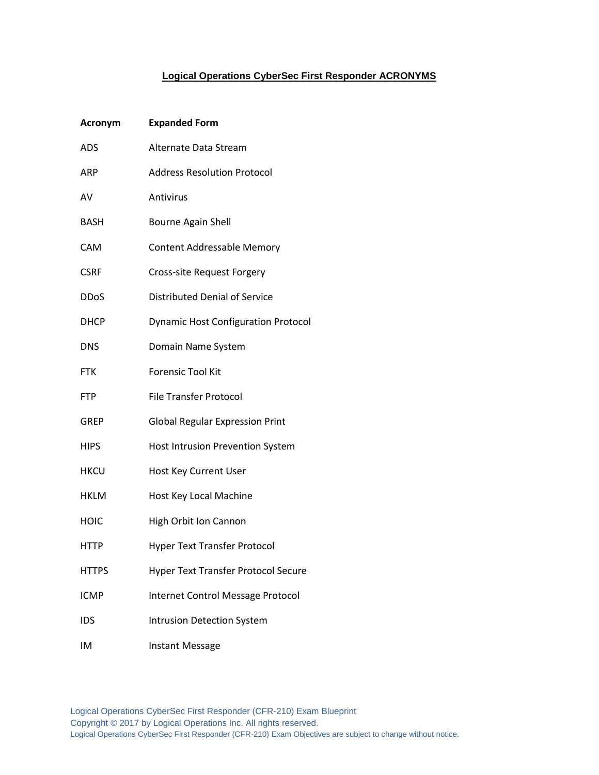## **Logical Operations CyberSec First Responder ACRONYMS**

| <b>Acronym</b> | <b>Expanded Form</b>                       |
|----------------|--------------------------------------------|
| <b>ADS</b>     | Alternate Data Stream                      |
| <b>ARP</b>     | <b>Address Resolution Protocol</b>         |
| AV             | Antivirus                                  |
| <b>BASH</b>    | <b>Bourne Again Shell</b>                  |
| <b>CAM</b>     | <b>Content Addressable Memory</b>          |
| <b>CSRF</b>    | Cross-site Request Forgery                 |
| <b>DDoS</b>    | <b>Distributed Denial of Service</b>       |
| <b>DHCP</b>    | <b>Dynamic Host Configuration Protocol</b> |
| <b>DNS</b>     | Domain Name System                         |
| <b>FTK</b>     | <b>Forensic Tool Kit</b>                   |
| <b>FTP</b>     | <b>File Transfer Protocol</b>              |
| GREP           | <b>Global Regular Expression Print</b>     |
| <b>HIPS</b>    | Host Intrusion Prevention System           |
| <b>HKCU</b>    | Host Key Current User                      |
| <b>HKLM</b>    | Host Key Local Machine                     |
| HOIC           | High Orbit Ion Cannon                      |
| <b>HTTP</b>    | <b>Hyper Text Transfer Protocol</b>        |
| <b>HTTPS</b>   | <b>Hyper Text Transfer Protocol Secure</b> |
| <b>ICMP</b>    | Internet Control Message Protocol          |
| IDS            | <b>Intrusion Detection System</b>          |
| IM             | <b>Instant Message</b>                     |